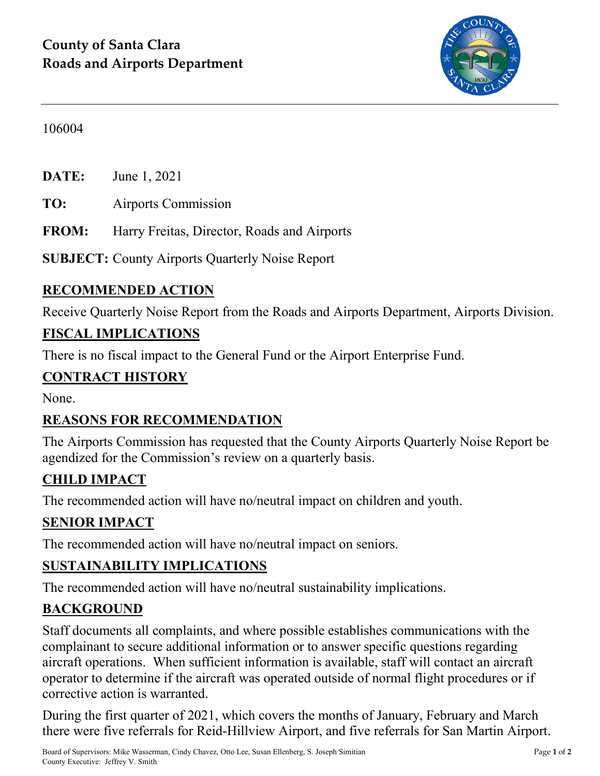

#### 106004

**DATE:** June 1, 2021

**TO:** Airports Commission

**FROM:** Harry Freitas, Director, Roads and Airports

**SUBJECT:** County Airports Quarterly Noise Report

## **RECOMMENDED ACTION**

Receive Quarterly Noise Report from the Roads and Airports Department, Airports Division.

#### **FISCAL IMPLICATIONS**

There is no fiscal impact to the General Fund or the Airport Enterprise Fund.

#### **CONTRACT HISTORY**

None.

## **REASONS FOR RECOMMENDATION**

The Airports Commission has requested that the County Airports Quarterly Noise Report be agendized for the Commission's review on a quarterly basis.

## **CHILD IMPACT**

The recommended action will have no/neutral impact on children and youth.

## **SENIOR IMPACT**

The recommended action will have no/neutral impact on seniors.

#### **SUSTAINABILITY IMPLICATIONS**

The recommended action will have no/neutral sustainability implications.

#### **BACKGROUND**

Staff documents all complaints, and where possible establishes communications with the complainant to secure additional information or to answer specific questions regarding aircraft operations. When sufficient information is available, staff will contact an aircraft operator to determine if the aircraft was operated outside of normal flight procedures or if corrective action is warranted.

During the first quarter of 2021, which covers the months of January, February and March there were five referrals for Reid-Hillview Airport, and five referrals for San Martin Airport.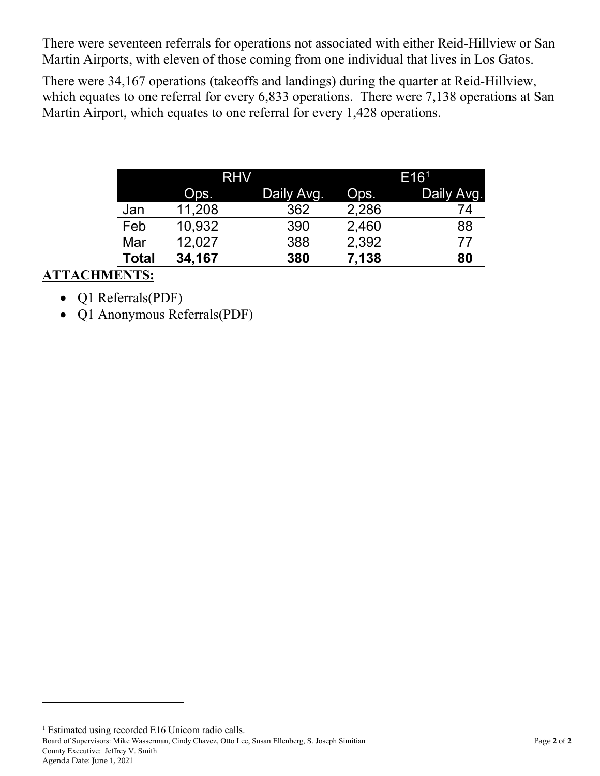There were seventeen referrals for operations not associated with either Reid-Hillview or San Martin Airports, with eleven of those coming from one individual that lives in Los Gatos.

There were 34,167 operations (takeoffs and landings) during the quarter at Reid-Hillview, which equates to one referral for every 6,833 operations. There were 7,138 operations at San Martin Airport, which equates to one referral for every 1,428 operations.

|              | <b>RHV</b> |            | E16 <sup>1</sup> |            |
|--------------|------------|------------|------------------|------------|
|              | Ops.       | Daily Avg. | Ops.             | Daily Avg. |
| Jan          | 11,208     | 362        | 2,286            | 74         |
| Feb          | 10,932     | 390        | 2,460            | 88         |
| Mar          | 12,027     | 388        | 2,392            | 77         |
| <b>Total</b> | 34,167     | 380        | 7,138            | 80         |

## **ATTACHMENTS:**

 $\overline{a}$ 

- Q1 Referrals(PDF)
- Q1 Anonymous Referrals(PDF)

<span id="page-1-0"></span>Board of Supervisors: Mike Wasserman, Cindy Chavez, Otto Lee, Susan Ellenberg, S. Joseph Simitian Page **2** of **2** County Executive: Jeffrey V. Smith Agenda Date: June 1, 2021 <sup>1</sup> Estimated using recorded E16 Unicom radio calls.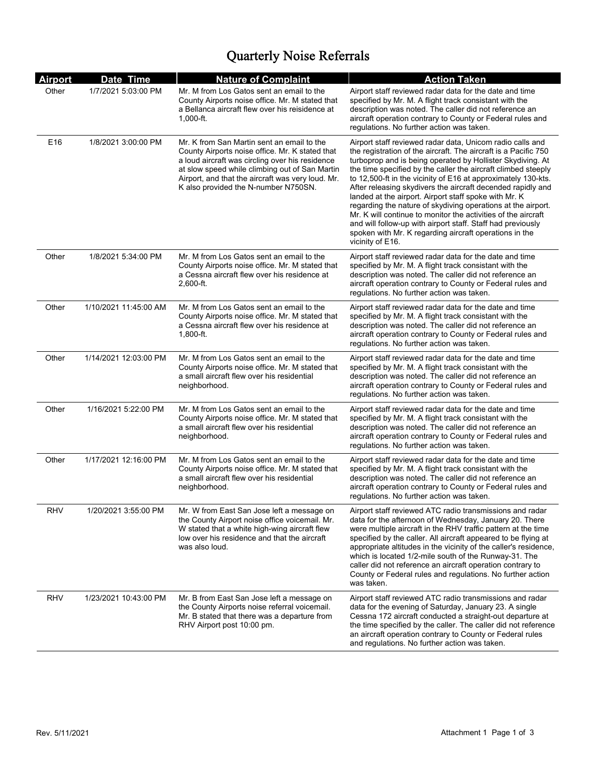# Quarterly Noise Referrals

| <b>Airport</b>  | Date Time             | <b>Nature of Complaint</b>                                                                                                                                                                                                                                                                      | <b>Action Taken</b>                                                                                                                                                                                                                                                                                                                                                                                                                                                                                                                                                                                                                                                                                                                |
|-----------------|-----------------------|-------------------------------------------------------------------------------------------------------------------------------------------------------------------------------------------------------------------------------------------------------------------------------------------------|------------------------------------------------------------------------------------------------------------------------------------------------------------------------------------------------------------------------------------------------------------------------------------------------------------------------------------------------------------------------------------------------------------------------------------------------------------------------------------------------------------------------------------------------------------------------------------------------------------------------------------------------------------------------------------------------------------------------------------|
| Other           | 1/7/2021 5:03:00 PM   | Mr. M from Los Gatos sent an email to the<br>County Airports noise office. Mr. M stated that<br>a Bellanca aircraft flew over his reisidence at<br>$1,000$ -ft.                                                                                                                                 | Airport staff reviewed radar data for the date and time<br>specified by Mr. M. A flight track consistant with the<br>description was noted. The caller did not reference an<br>aircraft operation contrary to County or Federal rules and<br>regulations. No further action was taken.                                                                                                                                                                                                                                                                                                                                                                                                                                             |
| E <sub>16</sub> | 1/8/2021 3:00:00 PM   | Mr. K from San Martin sent an email to the<br>County Airports noise office. Mr. K stated that<br>a loud aircraft was circling over his residence<br>at slow speed while climbing out of San Martin<br>Airport, and that the aircraft was very loud. Mr.<br>K also provided the N-number N750SN. | Airport staff reviewed radar data, Unicom radio calls and<br>the registration of the aircraft. The aircraft is a Pacific 750<br>turboprop and is being operated by Hollister Skydiving. At<br>the time specified by the caller the aircraft climbed steeply<br>to 12,500-ft in the vicinity of E16 at approximately 130-kts.<br>After releasing skydivers the aircraft decended rapidly and<br>landed at the airport. Airport staff spoke with Mr. K<br>regarding the nature of skydiving operations at the airport.<br>Mr. K will continue to monitor the activities of the aircraft<br>and will follow-up with airport staff. Staff had previously<br>spoken with Mr. K regarding aircraft operations in the<br>vicinity of E16. |
| Other           | 1/8/2021 5:34:00 PM   | Mr. M from Los Gatos sent an email to the<br>County Airports noise office. Mr. M stated that<br>a Cessna aircraft flew over his residence at<br>2,600-ft.                                                                                                                                       | Airport staff reviewed radar data for the date and time<br>specified by Mr. M. A flight track consistant with the<br>description was noted. The caller did not reference an<br>aircraft operation contrary to County or Federal rules and<br>regulations. No further action was taken.                                                                                                                                                                                                                                                                                                                                                                                                                                             |
| Other           | 1/10/2021 11:45:00 AM | Mr. M from Los Gatos sent an email to the<br>County Airports noise office. Mr. M stated that<br>a Cessna aircraft flew over his residence at<br>$1,800$ -ft.                                                                                                                                    | Airport staff reviewed radar data for the date and time<br>specified by Mr. M. A flight track consistant with the<br>description was noted. The caller did not reference an<br>aircraft operation contrary to County or Federal rules and<br>regulations. No further action was taken.                                                                                                                                                                                                                                                                                                                                                                                                                                             |
| Other           | 1/14/2021 12:03:00 PM | Mr. M from Los Gatos sent an email to the<br>County Airports noise office. Mr. M stated that<br>a small aircraft flew over his residential<br>neighborhood.                                                                                                                                     | Airport staff reviewed radar data for the date and time<br>specified by Mr. M. A flight track consistant with the<br>description was noted. The caller did not reference an<br>aircraft operation contrary to County or Federal rules and<br>regulations. No further action was taken.                                                                                                                                                                                                                                                                                                                                                                                                                                             |
| Other           | 1/16/2021 5:22:00 PM  | Mr. M from Los Gatos sent an email to the<br>County Airports noise office. Mr. M stated that<br>a small aircraft flew over his residential<br>neighborhood.                                                                                                                                     | Airport staff reviewed radar data for the date and time<br>specified by Mr. M. A flight track consistant with the<br>description was noted. The caller did not reference an<br>aircraft operation contrary to County or Federal rules and<br>regulations. No further action was taken.                                                                                                                                                                                                                                                                                                                                                                                                                                             |
| Other           | 1/17/2021 12:16:00 PM | Mr. M from Los Gatos sent an email to the<br>County Airports noise office. Mr. M stated that<br>a small aircraft flew over his residential<br>neighborhood.                                                                                                                                     | Airport staff reviewed radar data for the date and time<br>specified by Mr. M. A flight track consistant with the<br>description was noted. The caller did not reference an<br>aircraft operation contrary to County or Federal rules and<br>regulations. No further action was taken.                                                                                                                                                                                                                                                                                                                                                                                                                                             |
| <b>RHV</b>      | 1/20/2021 3:55:00 PM  | Mr. W from East San Jose left a message on<br>the County Airport noise office voicemail. Mr.<br>W stated that a white high-wing aircraft flew<br>low over his residence and that the aircraft<br>was also loud.                                                                                 | Airport staff reviewed ATC radio transmissions and radar<br>data for the afternoon of Wednesday, January 20. There<br>were multiple aircraft in the RHV traffic pattern at the time<br>specified by the caller. All aircraft appeared to be flying at<br>appropriate altitudes in the vicinity of the caller's residence,<br>which is located 1/2-mile south of the Runway-31. The<br>caller did not reference an aircraft operation contrary to<br>County or Federal rules and regulations. No further action<br>was taken.                                                                                                                                                                                                       |
| <b>RHV</b>      | 1/23/2021 10:43:00 PM | Mr. B from East San Jose left a message on<br>the County Airports noise referral voicemail.<br>Mr. B stated that there was a departure from<br>RHV Airport post 10:00 pm.                                                                                                                       | Airport staff reviewed ATC radio transmissions and radar<br>data for the evening of Saturday, January 23. A single<br>Cessna 172 aircraft conducted a straight-out departure at<br>the time specified by the caller. The caller did not reference<br>an aircraft operation contrary to County or Federal rules<br>and regulations. No further action was taken.                                                                                                                                                                                                                                                                                                                                                                    |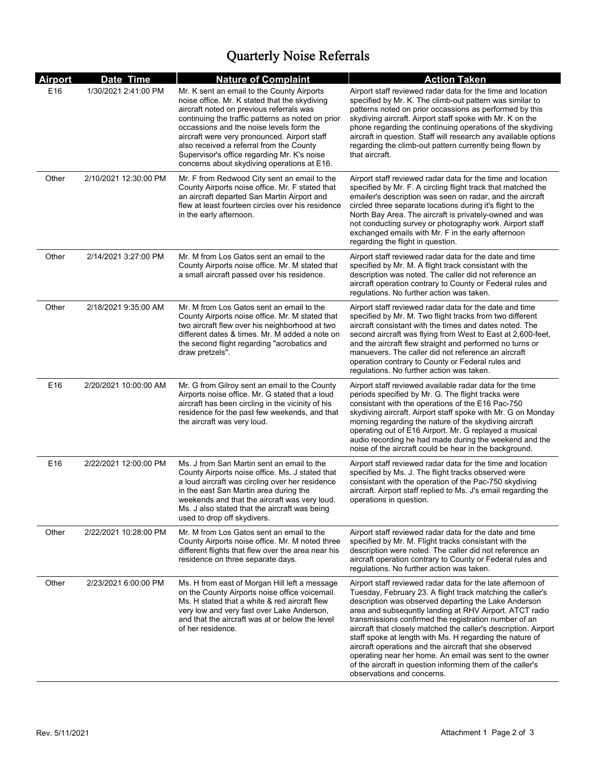# Quarterly Noise Referrals

| <b>Airport</b>  | Date Time             | <b>Nature of Complaint</b>                                                                                                                                                                                                                                                                                                                                                                                                         | <b>Action Taken</b>                                                                                                                                                                                                                                                                                                                                                                                                                                                                                                                                                                                                                                   |
|-----------------|-----------------------|------------------------------------------------------------------------------------------------------------------------------------------------------------------------------------------------------------------------------------------------------------------------------------------------------------------------------------------------------------------------------------------------------------------------------------|-------------------------------------------------------------------------------------------------------------------------------------------------------------------------------------------------------------------------------------------------------------------------------------------------------------------------------------------------------------------------------------------------------------------------------------------------------------------------------------------------------------------------------------------------------------------------------------------------------------------------------------------------------|
| E16             | 1/30/2021 2:41:00 PM  | Mr. K sent an email to the County Airports<br>noise office. Mr. K stated that the skydiving<br>aircraft noted on previous referrals was<br>continuing the traffic patterns as noted on prior<br>occassions and the noise levels form the<br>aircraft were very pronounced. Airport staff<br>also received a referral from the County<br>Supervisor's office regarding Mr. K's noise<br>concerns about skydiving operations at E16. | Airport staff reviewed radar data for the time and location<br>specified by Mr. K. The climb-out pattern was similar to<br>patterns noted on prior occassions as performed by this<br>skydiving aircraft. Airport staff spoke with Mr. K on the<br>phone regarding the continuing operations of the skydiving<br>aircraft in question. Staff will research any available options<br>regarding the climb-out pattern currently being flown by<br>that aircraft.                                                                                                                                                                                        |
| Other           | 2/10/2021 12:30:00 PM | Mr. F from Redwood City sent an email to the<br>County Airports noise office. Mr. F stated that<br>an aircraft departed San Martin Airport and<br>flew at least fourteen circles over his residence<br>in the early afternoon.                                                                                                                                                                                                     | Airport staff reviewed radar data for the time and location<br>specified by Mr. F. A circling flight track that matched the<br>emailer's description was seen on radar, and the aircraft<br>circled three separate locations during it's flight to the<br>North Bay Area. The aircraft is privately-owned and was<br>not conducting survey or photography work. Airport staff<br>exchanged emails with Mr. F in the early afternoon<br>regarding the flight in question.                                                                                                                                                                              |
| Other           | 2/14/2021 3:27:00 PM  | Mr. M from Los Gatos sent an email to the<br>County Airports noise office. Mr. M stated that<br>a small aircraft passed over his residence.                                                                                                                                                                                                                                                                                        | Airport staff reviewed radar data for the date and time<br>specified by Mr. M. A flight track consistant with the<br>description was noted. The caller did not reference an<br>aircraft operation contrary to County or Federal rules and<br>regulations. No further action was taken.                                                                                                                                                                                                                                                                                                                                                                |
| Other           | 2/18/2021 9:35:00 AM  | Mr. M from Los Gatos sent an email to the<br>County Airports noise office. Mr. M stated that<br>two aircraft flew over his neighborhood at two<br>different dates & times. Mr. M added a note on<br>the second flight regarding "acrobatics and<br>draw pretzels".                                                                                                                                                                 | Airport staff reviewed radar data for the date and time<br>specified by Mr. M. Two flight tracks from two different<br>aircraft consistant with the times and dates noted. The<br>second aircraft was flying from West to East at 2,600-feet,<br>and the aircraft flew straight and performed no turns or<br>manuevers. The caller did not reference an aircraft<br>operation contrary to County or Federal rules and<br>regulations. No further action was taken.                                                                                                                                                                                    |
| E <sub>16</sub> | 2/20/2021 10:00:00 AM | Mr. G from Gilroy sent an email to the County<br>Airports noise office. Mr. G stated that a loud<br>aircraft has been circling in the vicinity of his<br>residence for the past few weekends, and that<br>the aircraft was very loud.                                                                                                                                                                                              | Airport staff reviewed available radar data for the time<br>periods specified by Mr. G. The flight tracks were<br>consistant with the operations of the E16 Pac-750<br>skydiving aircraft. Airport staff spoke with Mr. G on Monday<br>morning regarding the nature of the skydiving aircraft<br>operating out of E16 Airport. Mr. G replayed a musical<br>audio recording he had made during the weekend and the<br>noise of the aircraft could be hear in the background.                                                                                                                                                                           |
| E16             | 2/22/2021 12:00:00 PM | Ms. J from San Martin sent an email to the<br>County Airports noise office. Ms. J stated that<br>a loud aircraft was circling over her residence<br>in the east San Martin area during the<br>weekends and that the aircraft was very loud.<br>Ms. J also stated that the aircraft was being<br>used to drop off skydivers.                                                                                                        | Airport staff reviewed radar data for the time and location<br>specified by Ms. J. The flight tracks observed were<br>consistant with the operation of the Pac-750 skydiving<br>aircraft. Airport staff replied to Ms. J's email regarding the<br>operations in question.                                                                                                                                                                                                                                                                                                                                                                             |
| Other           | 2/22/2021 10:28:00 PM | Mr. M from Los Gatos sent an email to the<br>County Airports noise office. Mr. M noted three<br>different flights that flew over the area near his<br>residence on three separate days.                                                                                                                                                                                                                                            | Airport staff reviewed radar data for the date and time<br>specified by Mr. M. Flight tracks consistant with the<br>description were noted. The caller did not reference an<br>aircraft operation contrary to County or Federal rules and<br>regulations. No further action was taken.                                                                                                                                                                                                                                                                                                                                                                |
| Other           | 2/23/2021 6:00:00 PM  | Ms. H from east of Morgan Hill left a message<br>on the County Airports noise office voicemail.<br>Ms. H stated that a white & red aircraft flew<br>very low and very fast over Lake Anderson,<br>and that the aircraft was at or below the level<br>of her residence.                                                                                                                                                             | Airport staff reviewed radar data for the late afternoon of<br>Tuesday, February 23. A flight track matching the caller's<br>description was observed departing the Lake Anderson<br>area and subsequntly landing at RHV Airport. ATCT radio<br>transmissions confirmed the registration number of an<br>aircraft that closely matched the caller's description. Airport<br>staff spoke at length with Ms. H regarding the nature of<br>aircraft operations and the aircraft that she observed<br>operating near her home. An email was sent to the owner<br>of the aircraft in question informing them of the caller's<br>observations and concerns. |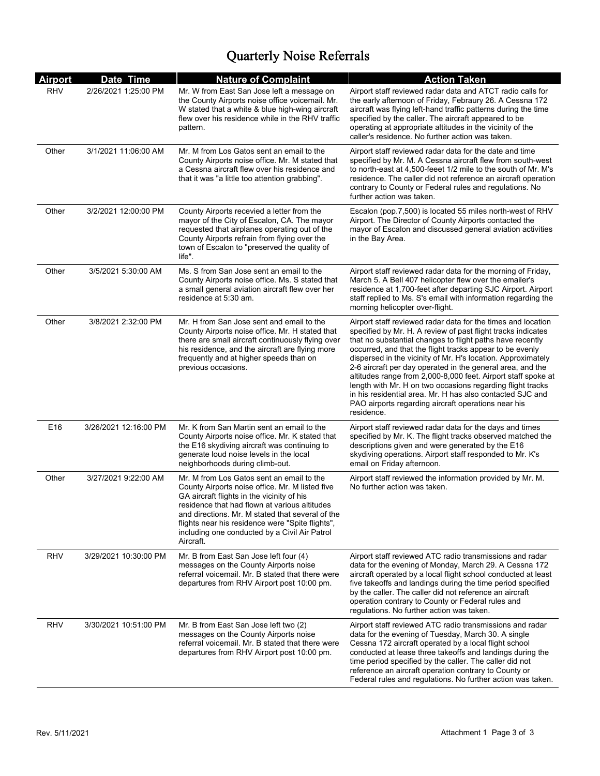# Quarterly Noise Referrals

| <b>Airport</b>  | Date Time             | <b>Nature of Complaint</b>                                                                                                                                                                                                                                                                                                                                        | <b>Action Taken</b>                                                                                                                                                                                                                                                                                                                                                                                                                                                                                                                                                                                                                                  |
|-----------------|-----------------------|-------------------------------------------------------------------------------------------------------------------------------------------------------------------------------------------------------------------------------------------------------------------------------------------------------------------------------------------------------------------|------------------------------------------------------------------------------------------------------------------------------------------------------------------------------------------------------------------------------------------------------------------------------------------------------------------------------------------------------------------------------------------------------------------------------------------------------------------------------------------------------------------------------------------------------------------------------------------------------------------------------------------------------|
| <b>RHV</b>      | 2/26/2021 1:25:00 PM  | Mr. W from East San Jose left a message on<br>the County Airports noise office voicemail. Mr.<br>W stated that a white & blue high-wing aircraft<br>flew over his residence while in the RHV traffic<br>pattern.                                                                                                                                                  | Airport staff reviewed radar data and ATCT radio calls for<br>the early afternoon of Friday, Febraury 26. A Cessna 172<br>aircraft was flying left-hand traffic patterns during the time<br>specified by the caller. The aircraft appeared to be<br>operating at appropriate altitudes in the vicinity of the<br>caller's residence. No further action was taken.                                                                                                                                                                                                                                                                                    |
| Other           | 3/1/2021 11:06:00 AM  | Mr. M from Los Gatos sent an email to the<br>County Airports noise office. Mr. M stated that<br>a Cessna aircraft flew over his residence and<br>that it was "a little too attention grabbing".                                                                                                                                                                   | Airport staff reviewed radar data for the date and time<br>specified by Mr. M. A Cessna aircraft flew from south-west<br>to north-east at 4,500-feeet 1/2 mile to the south of Mr. M's<br>residence. The caller did not reference an aircraft operation<br>contrary to County or Federal rules and regulations. No<br>further action was taken.                                                                                                                                                                                                                                                                                                      |
| Other           | 3/2/2021 12:00:00 PM  | County Airports recevied a letter from the<br>mayor of the City of Escalon, CA. The mayor<br>requested that airplanes operating out of the<br>County Airports refrain from flying over the<br>town of Escalon to "preserved the quality of<br>life".                                                                                                              | Escalon (pop.7,500) is located 55 miles north-west of RHV<br>Airport. The Director of County Airports contacted the<br>mayor of Escalon and discussed general aviation activities<br>in the Bay Area.                                                                                                                                                                                                                                                                                                                                                                                                                                                |
| Other           | 3/5/2021 5:30:00 AM   | Ms. S from San Jose sent an email to the<br>County Airports noise office. Ms. S stated that<br>a small general aviation aircraft flew over her<br>residence at 5:30 am.                                                                                                                                                                                           | Airport staff reviewed radar data for the morning of Friday,<br>March 5. A Bell 407 helicopter flew over the emailer's<br>residence at 1,700-feet after departing SJC Airport. Airport<br>staff replied to Ms. S's email with information regarding the<br>morning helicopter over-flight.                                                                                                                                                                                                                                                                                                                                                           |
| Other           | 3/8/2021 2:32:00 PM   | Mr. H from San Jose sent and email to the<br>County Airports noise office. Mr. H stated that<br>there are small aircraft continuously flying over<br>his residence, and the aircraft are flying more<br>frequently and at higher speeds than on<br>previous occasions.                                                                                            | Airport staff reviewed radar data for the times and location<br>specified by Mr. H. A review of past flight tracks indicates<br>that no substantial changes to flight paths have recently<br>occurred, and that the flight tracks appear to be evenly<br>dispersed in the vicinity of Mr. H's location. Approximately<br>2-6 aircraft per day operated in the general area, and the<br>altitudes range from 2,000-8,000 feet. Airport staff spoke at<br>length with Mr. H on two occasions regarding flight tracks<br>in his residential area. Mr. H has also contacted SJC and<br>PAO airports regarding aircraft operations near his<br>residence. |
| E <sub>16</sub> | 3/26/2021 12:16:00 PM | Mr. K from San Martin sent an email to the<br>County Airports noise office. Mr. K stated that<br>the E16 skydiving aircraft was continuing to<br>generate loud noise levels in the local<br>neighborhoods during climb-out.                                                                                                                                       | Airport staff reviewed radar data for the days and times<br>specified by Mr. K. The flight tracks observed matched the<br>descriptions given and were generated by the E16<br>skydiving operations. Airport staff responded to Mr. K's<br>email on Friday afternoon.                                                                                                                                                                                                                                                                                                                                                                                 |
| Other           | 3/27/2021 9:22:00 AM  | Mr. M from Los Gatos sent an email to the<br>County Airports noise office. Mr. M listed five<br>GA aircraft flights in the vicinity of his<br>residence that had flown at various altitudes<br>and directions. Mr. M stated that several of the<br>flights near his residence were "Spite flights",<br>including one conducted by a Civil Air Patrol<br>Aircraft. | Airport staff reviewed the information provided by Mr. M.<br>No further action was taken.                                                                                                                                                                                                                                                                                                                                                                                                                                                                                                                                                            |
| <b>RHV</b>      | 3/29/2021 10:30:00 PM | Mr. B from East San Jose left four (4)<br>messages on the County Airports noise<br>referral voicemail. Mr. B stated that there were<br>departures from RHV Airport post 10:00 pm.                                                                                                                                                                                 | Airport staff reviewed ATC radio transmissions and radar<br>data for the evening of Monday, March 29. A Cessna 172<br>aircraft operated by a local flight school conducted at least<br>five takeoffs and landings during the time period specified<br>by the caller. The caller did not reference an aircraft<br>operation contrary to County or Federal rules and<br>regulations. No further action was taken.                                                                                                                                                                                                                                      |
| RHV             | 3/30/2021 10:51:00 PM | Mr. B from East San Jose left two (2)<br>messages on the County Airports noise<br>referral voicemail. Mr. B stated that there were<br>departures from RHV Airport post 10:00 pm.                                                                                                                                                                                  | Airport staff reviewed ATC radio transmissions and radar<br>data for the evening of Tuesday, March 30. A single<br>Cessna 172 aircraft operated by a local flight school<br>conducted at lease three takeoffs and landings during the<br>time period specified by the caller. The caller did not<br>reference an aircraft operation contrary to County or<br>Federal rules and regulations. No further action was taken.                                                                                                                                                                                                                             |